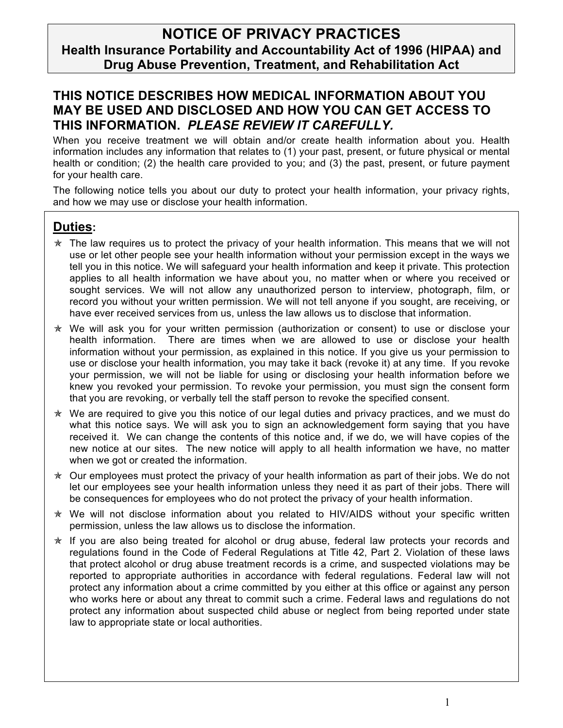## **NOTICE OF PRIVACY PRACTICES Health Insurance Portability and Accountability Act of 1996 (HIPAA) and Drug Abuse Prevention, Treatment, and Rehabilitation Act**

### **THIS NOTICE DESCRIBES HOW MEDICAL INFORMATION ABOUT YOU MAY BE USED AND DISCLOSED AND HOW YOU CAN GET ACCESS TO THIS INFORMATION.** *PLEASE REVIEW IT CAREFULLY.*

When you receive treatment we will obtain and/or create health information about you. Health information includes any information that relates to (1) your past, present, or future physical or mental health or condition; (2) the health care provided to you; and (3) the past, present, or future payment for your health care.

The following notice tells you about our duty to protect your health information, your privacy rights, and how we may use or disclose your health information.

### **Duties:**

- $\star$  The law requires us to protect the privacy of your health information. This means that we will not use or let other people see your health information without your permission except in the ways we tell you in this notice. We will safeguard your health information and keep it private. This protection applies to all health information we have about you, no matter when or where you received or sought services. We will not allow any unauthorized person to interview, photograph, film, or record you without your written permission. We will not tell anyone if you sought, are receiving, or have ever received services from us, unless the law allows us to disclose that information.
- $*$  We will ask you for your written permission (authorization or consent) to use or disclose your health information. There are times when we are allowed to use or disclose your health information without your permission, as explained in this notice. If you give us your permission to use or disclose your health information, you may take it back (revoke it) at any time. If you revoke your permission, we will not be liable for using or disclosing your health information before we knew you revoked your permission. To revoke your permission, you must sign the consent form that you are revoking, or verbally tell the staff person to revoke the specified consent.
- $*$  We are required to give you this notice of our legal duties and privacy practices, and we must do what this notice says. We will ask you to sign an acknowledgement form saying that you have received it. We can change the contents of this notice and, if we do, we will have copies of the new notice at our sites. The new notice will apply to all health information we have, no matter when we got or created the information.
- $\star$  Our employees must protect the privacy of your health information as part of their jobs. We do not let our employees see your health information unless they need it as part of their jobs. There will be consequences for employees who do not protect the privacy of your health information.
- \* We will not disclose information about you related to HIV/AIDS without your specific written permission, unless the law allows us to disclose the information.
- $*$  If you are also being treated for alcohol or drug abuse, federal law protects your records and regulations found in the Code of Federal Regulations at Title 42, Part 2. Violation of these laws that protect alcohol or drug abuse treatment records is a crime, and suspected violations may be reported to appropriate authorities in accordance with federal regulations. Federal law will not protect any information about a crime committed by you either at this office or against any person who works here or about any threat to commit such a crime. Federal laws and regulations do not protect any information about suspected child abuse or neglect from being reported under state law to appropriate state or local authorities.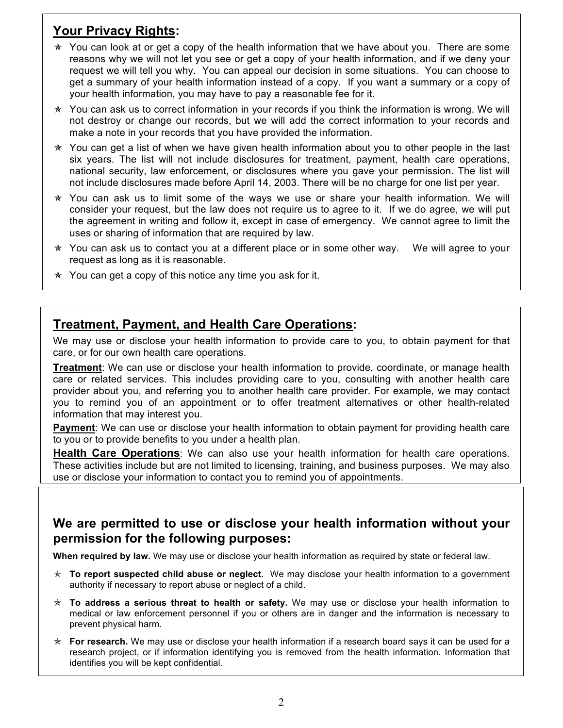# **Your Privacy Rights:**

- $\star$  You can look at or get a copy of the health information that we have about you. There are some reasons why we will not let you see or get a copy of your health information, and if we deny your request we will tell you why. You can appeal our decision in some situations. You can choose to get a summary of your health information instead of a copy. If you want a summary or a copy of your health information, you may have to pay a reasonable fee for it.
- $\star$  You can ask us to correct information in your records if you think the information is wrong. We will not destroy or change our records, but we will add the correct information to your records and make a note in your records that you have provided the information.
- $\star$  You can get a list of when we have given health information about you to other people in the last six years. The list will not include disclosures for treatment, payment, health care operations, national security, law enforcement, or disclosures where you gave your permission. The list will not include disclosures made before April 14, 2003. There will be no charge for one list per year.
- $*$  You can ask us to limit some of the ways we use or share your health information. We will consider your request, but the law does not require us to agree to it. If we do agree, we will put the agreement in writing and follow it, except in case of emergency. We cannot agree to limit the uses or sharing of information that are required by law.
- $\star$  You can ask us to contact you at a different place or in some other way. We will agree to your request as long as it is reasonable.
- $\star$  You can get a copy of this notice any time you ask for it.

### **Treatment, Payment, and Health Care Operations:**

We may use or disclose your health information to provide care to you, to obtain payment for that care, or for our own health care operations.

**Treatment**: We can use or disclose your health information to provide, coordinate, or manage health care or related services. This includes providing care to you, consulting with another health care provider about you, and referring you to another health care provider. For example, we may contact you to remind you of an appointment or to offer treatment alternatives or other health-related information that may interest you.

**Payment**: We can use or disclose your health information to obtain payment for providing health care to you or to provide benefits to you under a health plan.

**Health Care Operations**: We can also use your health information for health care operations. These activities include but are not limited to licensing, training, and business purposes. We may also use or disclose your information to contact you to remind you of appointments.

### **We are permitted to use or disclose your health information without your permission for the following purposes:**

**When required by law.** We may use or disclose your health information as required by state or federal law.

- **To report suspected child abuse or neglect**. We may disclose your health information to a government authority if necessary to report abuse or neglect of a child.
- **To address a serious threat to health or safety.** We may use or disclose your health information to medical or law enforcement personnel if you or others are in danger and the information is necessary to prevent physical harm.
- **For research.** We may use or disclose your health information if a research board says it can be used for a research project, or if information identifying you is removed from the health information. Information that identifies you will be kept confidential.